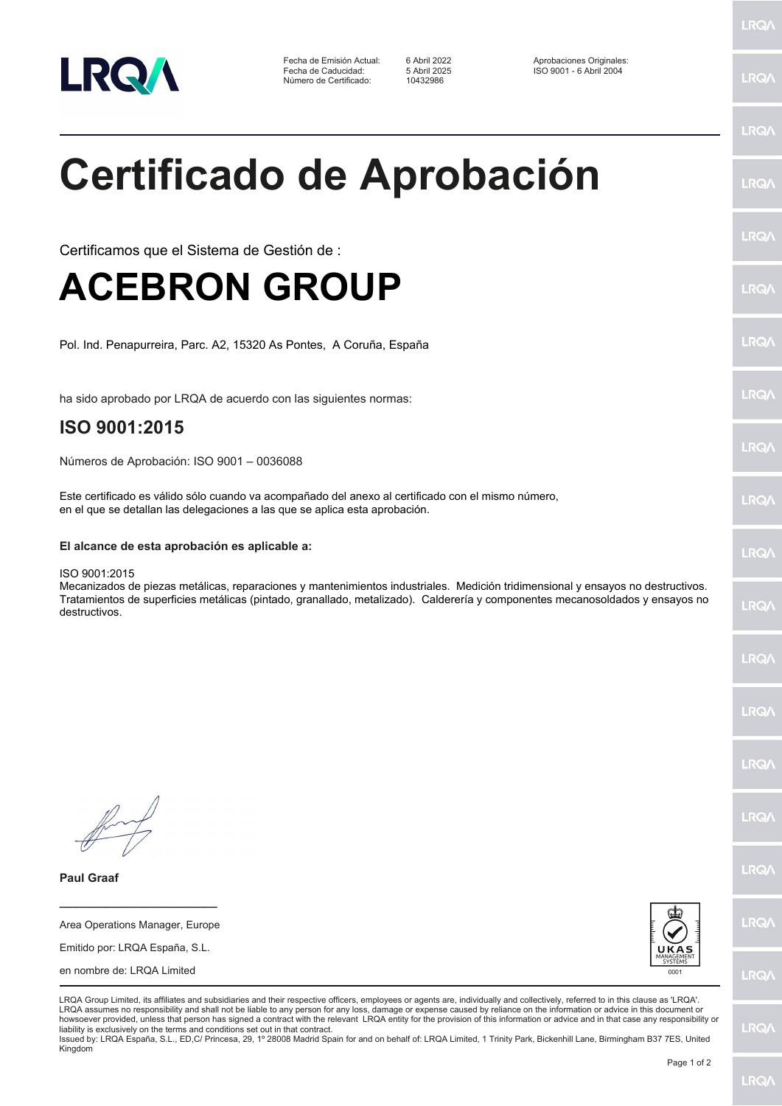

Fecha de Emisión Actual: 6 Abril 2022 <br>Fecha de Caducidad: 5 Abril 2025 150 9001 - 6 Abril 2004 Número de Certificado:

Fecha de Caducidad: 5 Abril 2025 ISO 9001 - 6 Abril 2004

LRQ/

LRQ/

LRQ/

LRQ/

LRQ/

LRQ/

LRQ/

LRQ/

LRQ/

LRQ/

LRQ/

LRQ/

LRQ/

LRQ/

LRQ/

**LRO/** 

LRQ/

LRQ/

**LRQ/** 

LRQ/

# **Certificado de Aprobación**

Certificamos que el Sistema de Gestión de :

## **ACEBRON GROUP**

Pol. Ind. Penapurreira, Parc. A2, 15320 As Pontes, A Coruña, España

ha sido aprobado por LRQA de acuerdo con las siguientes normas:

## **ISO 9001:2015**

Números de Aprobación: ISO 9001 – 0036088

Este certificado es válido sólo cuando va acompañado del anexo al certificado con el mismo número, en el que se detallan las delegaciones a las que se aplica esta aprobación.

### **El alcance de esta aprobación es aplicable a:**

#### ISO 9001:2015

Mecanizados de piezas metálicas, reparaciones y mantenimientos industriales. Medición tridimensional y ensayos no destructivos. Tratamientos de superficies metálicas (pintado, granallado, metalizado). Calderería y componentes mecanosoldados y ensayos no destructivos.

**Paul Graaf**

**\_\_\_\_\_\_\_\_\_\_\_\_\_\_\_\_\_\_\_\_\_\_\_\_** Area Operations Manager, Europe

Emitido por: LRQA España, S.L.

en nombre de: LRQA Limited



LRQA Group Limited, its affiliates and subsidiaries and their respective officers, employees or agents are, individually and collectively, referred to in this clause as 'LRQA'. LRQA assumes no responsibility and shall not be liable to any person for any loss, damage or expense caused by reliance on the information or advice in this document or howsoever provided, unless that person has signed a contract with the relevant LRQA entity for the provision of this information or advice and in that case any responsibility or<br>liability is exclusively on the terms and co

Issued by: LRQA España, S.L., ED,C/ Princesa, 29, 1º 28008 Madrid Spain for and on behalf of: LRQA Limited, 1 Trinity Park, Bickenhill Lane, Birmingham B37 7ES, United Kingdom